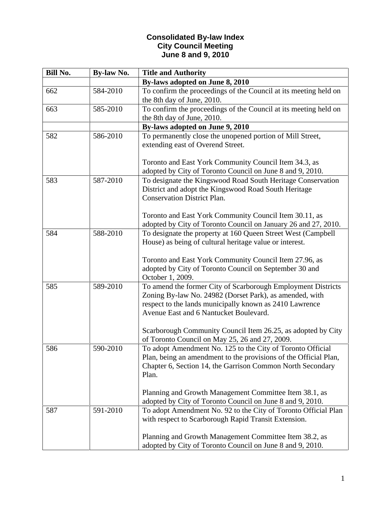## **Consolidated By-law Index City Council Meeting June 8 and 9, 2010**

| Bill No. | <b>By-law No.</b> | <b>Title and Authority</b>                                                                                                                                                                                                                                                                                                                     |
|----------|-------------------|------------------------------------------------------------------------------------------------------------------------------------------------------------------------------------------------------------------------------------------------------------------------------------------------------------------------------------------------|
|          |                   | By-laws adopted on June 8, 2010                                                                                                                                                                                                                                                                                                                |
| 662      | 584-2010          | To confirm the proceedings of the Council at its meeting held on<br>the 8th day of June, 2010.                                                                                                                                                                                                                                                 |
| 663      | 585-2010          | To confirm the proceedings of the Council at its meeting held on<br>the 8th day of June, 2010.                                                                                                                                                                                                                                                 |
|          |                   | By-laws adopted on June 9, 2010                                                                                                                                                                                                                                                                                                                |
| 582      | 586-2010          | To permanently close the unopened portion of Mill Street,<br>extending east of Overend Street.<br>Toronto and East York Community Council Item 34.3, as                                                                                                                                                                                        |
|          |                   | adopted by City of Toronto Council on June 8 and 9, 2010.                                                                                                                                                                                                                                                                                      |
| 583      | 587-2010          | To designate the Kingswood Road South Heritage Conservation<br>District and adopt the Kingswood Road South Heritage<br><b>Conservation District Plan.</b><br>Toronto and East York Community Council Item 30.11, as                                                                                                                            |
|          |                   | adopted by City of Toronto Council on January 26 and 27, 2010.                                                                                                                                                                                                                                                                                 |
| 584      | 588-2010          | To designate the property at 160 Queen Street West (Campbell<br>House) as being of cultural heritage value or interest.<br>Toronto and East York Community Council Item 27.96, as<br>adopted by City of Toronto Council on September 30 and<br>October 1, 2009.                                                                                |
| 585      | 589-2010          | To amend the former City of Scarborough Employment Districts<br>Zoning By-law No. 24982 (Dorset Park), as amended, with<br>respect to the lands municipally known as 2410 Lawrence<br>Avenue East and 6 Nantucket Boulevard.<br>Scarborough Community Council Item 26.25, as adopted by City<br>of Toronto Council on May 25, 26 and 27, 2009. |
| 586      | 590-2010          | To adopt Amendment No. 125 to the City of Toronto Official<br>Plan, being an amendment to the provisions of the Official Plan,<br>Chapter 6, Section 14, the Garrison Common North Secondary<br>Plan.<br>Planning and Growth Management Committee Item 38.1, as<br>adopted by City of Toronto Council on June 8 and 9, 2010.                   |
| 587      | 591-2010          | To adopt Amendment No. 92 to the City of Toronto Official Plan<br>with respect to Scarborough Rapid Transit Extension.<br>Planning and Growth Management Committee Item 38.2, as<br>adopted by City of Toronto Council on June 8 and 9, 2010.                                                                                                  |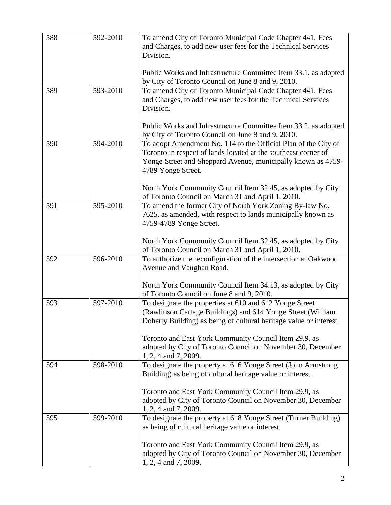| 588 | 592-2010 | To amend City of Toronto Municipal Code Chapter 441, Fees<br>and Charges, to add new user fees for the Technical Services |
|-----|----------|---------------------------------------------------------------------------------------------------------------------------|
|     |          | Division.                                                                                                                 |
|     |          |                                                                                                                           |
|     |          | Public Works and Infrastructure Committee Item 33.1, as adopted                                                           |
|     |          | by City of Toronto Council on June 8 and 9, 2010.                                                                         |
| 589 | 593-2010 | To amend City of Toronto Municipal Code Chapter 441, Fees                                                                 |
|     |          | and Charges, to add new user fees for the Technical Services                                                              |
|     |          | Division.                                                                                                                 |
|     |          |                                                                                                                           |
|     |          | Public Works and Infrastructure Committee Item 33.2, as adopted                                                           |
|     |          | by City of Toronto Council on June 8 and 9, 2010.                                                                         |
| 590 | 594-2010 | To adopt Amendment No. 114 to the Official Plan of the City of                                                            |
|     |          | Toronto in respect of lands located at the southeast corner of                                                            |
|     |          | Yonge Street and Sheppard Avenue, municipally known as 4759-                                                              |
|     |          | 4789 Yonge Street.                                                                                                        |
|     |          |                                                                                                                           |
|     |          | North York Community Council Item 32.45, as adopted by City<br>of Toronto Council on March 31 and April 1, 2010.          |
| 591 | 595-2010 | To amend the former City of North York Zoning By-law No.                                                                  |
|     |          | 7625, as amended, with respect to lands municipally known as                                                              |
|     |          | 4759-4789 Yonge Street.                                                                                                   |
|     |          |                                                                                                                           |
|     |          | North York Community Council Item 32.45, as adopted by City                                                               |
|     |          | of Toronto Council on March 31 and April 1, 2010.                                                                         |
| 592 | 596-2010 | To authorize the reconfiguration of the intersection at Oakwood                                                           |
|     |          | Avenue and Vaughan Road.                                                                                                  |
|     |          |                                                                                                                           |
|     |          | North York Community Council Item 34.13, as adopted by City                                                               |
|     |          | of Toronto Council on June 8 and 9, 2010.                                                                                 |
| 593 | 597-2010 | To designate the properties at 610 and 612 Yonge Street                                                                   |
|     |          | (Rawlinson Cartage Buildings) and 614 Yonge Street (William                                                               |
|     |          | Doherty Building) as being of cultural heritage value or interest.                                                        |
|     |          |                                                                                                                           |
|     |          | Toronto and East York Community Council Item 29.9, as                                                                     |
|     |          | adopted by City of Toronto Council on November 30, December                                                               |
|     |          | 1, 2, 4 and 7, 2009.                                                                                                      |
| 594 | 598-2010 | To designate the property at 616 Yonge Street (John Armstrong                                                             |
|     |          | Building) as being of cultural heritage value or interest.                                                                |
|     |          |                                                                                                                           |
|     |          | Toronto and East York Community Council Item 29.9, as                                                                     |
|     |          | adopted by City of Toronto Council on November 30, December                                                               |
|     |          | 1, 2, 4 and 7, 2009.                                                                                                      |
| 595 | 599-2010 | To designate the property at 618 Yonge Street (Turner Building)                                                           |
|     |          | as being of cultural heritage value or interest.                                                                          |
|     |          |                                                                                                                           |
|     |          | Toronto and East York Community Council Item 29.9, as                                                                     |
|     |          | adopted by City of Toronto Council on November 30, December                                                               |
|     |          | 1, 2, 4 and 7, 2009.                                                                                                      |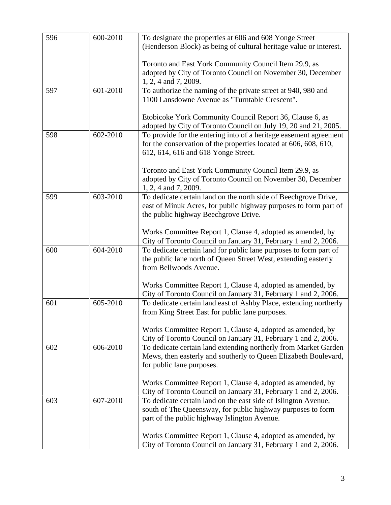| 596 | 600-2010 |                                                                                                                               |
|-----|----------|-------------------------------------------------------------------------------------------------------------------------------|
|     |          | To designate the properties at 606 and 608 Yonge Street<br>(Henderson Block) as being of cultural heritage value or interest. |
|     |          |                                                                                                                               |
|     |          | Toronto and East York Community Council Item 29.9, as                                                                         |
|     |          | adopted by City of Toronto Council on November 30, December                                                                   |
|     |          | 1, 2, 4 and 7, 2009.                                                                                                          |
| 597 | 601-2010 | To authorize the naming of the private street at 940, 980 and                                                                 |
|     |          | 1100 Lansdowne Avenue as "Turntable Crescent".                                                                                |
|     |          |                                                                                                                               |
|     |          | Etobicoke York Community Council Report 36, Clause 6, as                                                                      |
|     |          | adopted by City of Toronto Council on July 19, 20 and 21, 2005.                                                               |
| 598 | 602-2010 | To provide for the entering into of a heritage easement agreement                                                             |
|     |          | for the conservation of the properties located at 606, 608, 610,                                                              |
|     |          | 612, 614, 616 and 618 Yonge Street.                                                                                           |
|     |          |                                                                                                                               |
|     |          | Toronto and East York Community Council Item 29.9, as<br>adopted by City of Toronto Council on November 30, December          |
|     |          | 1, 2, 4 and 7, 2009.                                                                                                          |
| 599 | 603-2010 | To dedicate certain land on the north side of Beechgrove Drive,                                                               |
|     |          | east of Minuk Acres, for public highway purposes to form part of                                                              |
|     |          | the public highway Beechgrove Drive.                                                                                          |
|     |          |                                                                                                                               |
|     |          | Works Committee Report 1, Clause 4, adopted as amended, by                                                                    |
|     |          | City of Toronto Council on January 31, February 1 and 2, 2006.                                                                |
| 600 | 604-2010 | To dedicate certain land for public lane purposes to form part of                                                             |
|     |          | the public lane north of Queen Street West, extending easterly                                                                |
|     |          | from Bellwoods Avenue.                                                                                                        |
|     |          |                                                                                                                               |
|     |          | Works Committee Report 1, Clause 4, adopted as amended, by                                                                    |
|     |          | City of Toronto Council on January 31, February 1 and 2, 2006.                                                                |
| 601 | 605-2010 | To dedicate certain land east of Ashby Place, extending northerly<br>from King Street East for public lane purposes.          |
|     |          |                                                                                                                               |
|     |          | Works Committee Report 1, Clause 4, adopted as amended, by                                                                    |
|     |          | City of Toronto Council on January 31, February 1 and 2, 2006.                                                                |
| 602 | 606-2010 | To dedicate certain land extending northerly from Market Garden                                                               |
|     |          | Mews, then easterly and southerly to Queen Elizabeth Boulevard,                                                               |
|     |          | for public lane purposes.                                                                                                     |
|     |          |                                                                                                                               |
|     |          | Works Committee Report 1, Clause 4, adopted as amended, by                                                                    |
|     |          | City of Toronto Council on January 31, February 1 and 2, 2006.                                                                |
| 603 | 607-2010 | To dedicate certain land on the east side of Islington Avenue,                                                                |
|     |          | south of The Queensway, for public highway purposes to form                                                                   |
|     |          | part of the public highway Islington Avenue.                                                                                  |
|     |          |                                                                                                                               |
|     |          | Works Committee Report 1, Clause 4, adopted as amended, by                                                                    |
|     |          | City of Toronto Council on January 31, February 1 and 2, 2006.                                                                |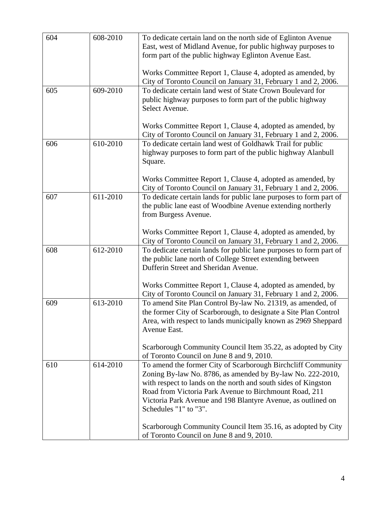| 604 | 608-2010 | To dedicate certain land on the north side of Eglinton Avenue                                                                      |
|-----|----------|------------------------------------------------------------------------------------------------------------------------------------|
|     |          | East, west of Midland Avenue, for public highway purposes to<br>form part of the public highway Eglinton Avenue East.              |
|     |          | Works Committee Report 1, Clause 4, adopted as amended, by                                                                         |
|     |          | City of Toronto Council on January 31, February 1 and 2, 2006.                                                                     |
| 605 | 609-2010 | To dedicate certain land west of State Crown Boulevard for                                                                         |
|     |          | public highway purposes to form part of the public highway<br>Select Avenue.                                                       |
|     |          | Works Committee Report 1, Clause 4, adopted as amended, by                                                                         |
|     |          | City of Toronto Council on January 31, February 1 and 2, 2006.                                                                     |
| 606 | 610-2010 | To dedicate certain land west of Goldhawk Trail for public                                                                         |
|     |          | highway purposes to form part of the public highway Alanbull<br>Square.                                                            |
|     |          |                                                                                                                                    |
|     |          | Works Committee Report 1, Clause 4, adopted as amended, by<br>City of Toronto Council on January 31, February 1 and 2, 2006.       |
| 607 | 611-2010 | To dedicate certain lands for public lane purposes to form part of                                                                 |
|     |          | the public lane east of Woodbine Avenue extending northerly                                                                        |
|     |          | from Burgess Avenue.                                                                                                               |
|     |          | Works Committee Report 1, Clause 4, adopted as amended, by                                                                         |
|     |          | City of Toronto Council on January 31, February 1 and 2, 2006.                                                                     |
| 608 | 612-2010 | To dedicate certain lands for public lane purposes to form part of                                                                 |
|     |          | the public lane north of College Street extending between                                                                          |
|     |          | Dufferin Street and Sheridan Avenue.                                                                                               |
|     |          | Works Committee Report 1, Clause 4, adopted as amended, by                                                                         |
|     |          | City of Toronto Council on January 31, February 1 and 2, 2006.                                                                     |
| 609 | 613-2010 | To amend Site Plan Control By-law No. 21319, as amended, of                                                                        |
|     |          | the former City of Scarborough, to designate a Site Plan Control<br>Area, with respect to lands municipally known as 2969 Sheppard |
|     |          | Avenue East.                                                                                                                       |
|     |          |                                                                                                                                    |
|     |          | Scarborough Community Council Item 35.22, as adopted by City<br>of Toronto Council on June 8 and 9, 2010.                          |
| 610 | 614-2010 | To amend the former City of Scarborough Birchcliff Community                                                                       |
|     |          | Zoning By-law No. 8786, as amended by By-law No. 222-2010,                                                                         |
|     |          | with respect to lands on the north and south sides of Kingston                                                                     |
|     |          | Road from Victoria Park Avenue to Birchmount Road, 211<br>Victoria Park Avenue and 198 Blantyre Avenue, as outlined on             |
|     |          | Schedules "1" to "3".                                                                                                              |
|     |          |                                                                                                                                    |
|     |          | Scarborough Community Council Item 35.16, as adopted by City<br>of Toronto Council on June 8 and 9, 2010.                          |
|     |          |                                                                                                                                    |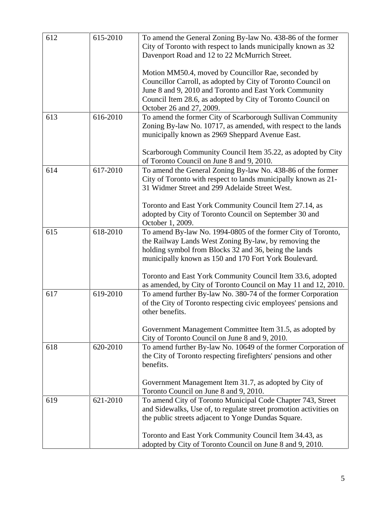| 612 | 615-2010 | To amend the General Zoning By-law No. 438-86 of the former                                                              |
|-----|----------|--------------------------------------------------------------------------------------------------------------------------|
|     |          | City of Toronto with respect to lands municipally known as 32<br>Davenport Road and 12 to 22 McMurrich Street.           |
|     |          |                                                                                                                          |
|     |          | Motion MM50.4, moved by Councillor Rae, seconded by                                                                      |
|     |          | Councillor Carroll, as adopted by City of Toronto Council on                                                             |
|     |          | June 8 and 9, 2010 and Toronto and East York Community                                                                   |
|     |          | Council Item 28.6, as adopted by City of Toronto Council on                                                              |
| 613 | 616-2010 | October 26 and 27, 2009.<br>To amend the former City of Scarborough Sullivan Community                                   |
|     |          | Zoning By-law No. 10717, as amended, with respect to the lands                                                           |
|     |          | municipally known as 2969 Sheppard Avenue East.                                                                          |
|     |          |                                                                                                                          |
|     |          | Scarborough Community Council Item 35.22, as adopted by City                                                             |
|     |          | of Toronto Council on June 8 and 9, 2010.                                                                                |
| 614 | 617-2010 | To amend the General Zoning By-law No. 438-86 of the former                                                              |
|     |          | City of Toronto with respect to lands municipally known as 21-<br>31 Widmer Street and 299 Adelaide Street West.         |
|     |          |                                                                                                                          |
|     |          | Toronto and East York Community Council Item 27.14, as                                                                   |
|     |          | adopted by City of Toronto Council on September 30 and                                                                   |
|     |          | October 1, 2009.                                                                                                         |
| 615 | 618-2010 | To amend By-law No. 1994-0805 of the former City of Toronto,                                                             |
|     |          | the Railway Lands West Zoning By-law, by removing the                                                                    |
|     |          | holding symbol from Blocks 32 and 36, being the lands<br>municipally known as 150 and 170 Fort York Boulevard.           |
|     |          |                                                                                                                          |
|     |          | Toronto and East York Community Council Item 33.6, adopted                                                               |
|     |          | as amended, by City of Toronto Council on May 11 and 12, 2010.                                                           |
| 617 | 619-2010 | To amend further By-law No. 380-74 of the former Corporation                                                             |
|     |          | of the City of Toronto respecting civic employees' pensions and                                                          |
|     |          | other benefits.                                                                                                          |
|     |          | Government Management Committee Item 31.5, as adopted by                                                                 |
|     |          | City of Toronto Council on June 8 and 9, 2010.                                                                           |
| 618 | 620-2010 | To amend further By-law No. 10649 of the former Corporation of                                                           |
|     |          | the City of Toronto respecting firefighters' pensions and other                                                          |
|     |          | benefits.                                                                                                                |
|     |          |                                                                                                                          |
|     |          | Government Management Item 31.7, as adopted by City of                                                                   |
|     |          | Toronto Council on June 8 and 9, 2010.                                                                                   |
| 619 | 621-2010 | To amend City of Toronto Municipal Code Chapter 743, Street                                                              |
|     |          | and Sidewalks, Use of, to regulate street promotion activities on<br>the public streets adjacent to Yonge Dundas Square. |
|     |          |                                                                                                                          |
|     |          | Toronto and East York Community Council Item 34.43, as                                                                   |
|     |          | adopted by City of Toronto Council on June 8 and 9, 2010.                                                                |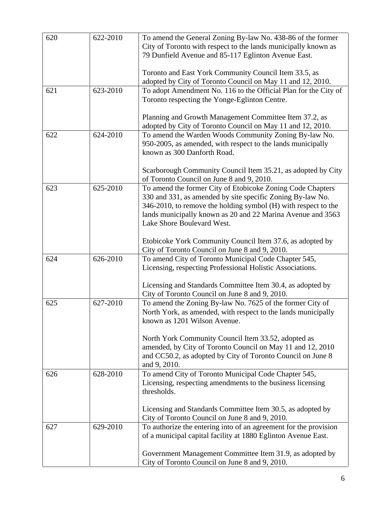| 620 | 622-2010 | To amend the General Zoning By-law No. 438-86 of the former                                                              |
|-----|----------|--------------------------------------------------------------------------------------------------------------------------|
|     |          | City of Toronto with respect to the lands municipally known as                                                           |
|     |          | 79 Dunfield Avenue and 85-117 Eglinton Avenue East.                                                                      |
|     |          | Toronto and East York Community Council Item 33.5, as                                                                    |
|     |          | adopted by City of Toronto Council on May 11 and 12, 2010.                                                               |
| 621 | 623-2010 | To adopt Amendment No. 116 to the Official Plan for the City of                                                          |
|     |          | Toronto respecting the Yonge-Eglinton Centre.                                                                            |
|     |          |                                                                                                                          |
|     |          | Planning and Growth Management Committee Item 37.2, as                                                                   |
|     |          | adopted by City of Toronto Council on May 11 and 12, 2010.                                                               |
| 622 | 624-2010 | To amend the Warden Woods Community Zoning By-law No.                                                                    |
|     |          | 950-2005, as amended, with respect to the lands municipally                                                              |
|     |          | known as 300 Danforth Road.                                                                                              |
|     |          |                                                                                                                          |
|     |          | Scarborough Community Council Item 35.21, as adopted by City                                                             |
|     |          | of Toronto Council on June 8 and 9, 2010.                                                                                |
| 623 | 625-2010 | To amend the former City of Etobicoke Zoning Code Chapters<br>330 and 331, as amended by site specific Zoning By-law No. |
|     |          | 346-2010, to remove the holding symbol (H) with respect to the                                                           |
|     |          | lands municipally known as 20 and 22 Marina Avenue and 3563                                                              |
|     |          | Lake Shore Boulevard West.                                                                                               |
|     |          |                                                                                                                          |
|     |          | Etobicoke York Community Council Item 37.6, as adopted by                                                                |
|     |          | City of Toronto Council on June 8 and 9, 2010.                                                                           |
| 624 | 626-2010 | To amend City of Toronto Municipal Code Chapter 545,                                                                     |
|     |          | Licensing, respecting Professional Holistic Associations.                                                                |
|     |          |                                                                                                                          |
|     |          | Licensing and Standards Committee Item 30.4, as adopted by                                                               |
|     |          | City of Toronto Council on June 8 and 9, 2010.                                                                           |
| 625 | 627-2010 | To amend the Zoning By-law No. 7625 of the former City of                                                                |
|     |          | North York, as amended, with respect to the lands municipally<br>known as 1201 Wilson Avenue.                            |
|     |          |                                                                                                                          |
|     |          | North York Community Council Item 33.52, adopted as                                                                      |
|     |          | amended, by City of Toronto Council on May 11 and 12, 2010                                                               |
|     |          | and CC50.2, as adopted by City of Toronto Council on June 8                                                              |
|     |          | and 9, 2010.                                                                                                             |
| 626 | 628-2010 | To amend City of Toronto Municipal Code Chapter 545,                                                                     |
|     |          | Licensing, respecting amendments to the business licensing                                                               |
|     |          | thresholds.                                                                                                              |
|     |          |                                                                                                                          |
|     |          | Licensing and Standards Committee Item 30.5, as adopted by                                                               |
|     |          | City of Toronto Council on June 8 and 9, 2010.                                                                           |
| 627 | 629-2010 | To authorize the entering into of an agreement for the provision                                                         |
|     |          | of a municipal capital facility at 1880 Eglinton Avenue East.                                                            |
|     |          |                                                                                                                          |
|     |          | Government Management Committee Item 31.9, as adopted by                                                                 |
|     |          | City of Toronto Council on June 8 and 9, 2010.                                                                           |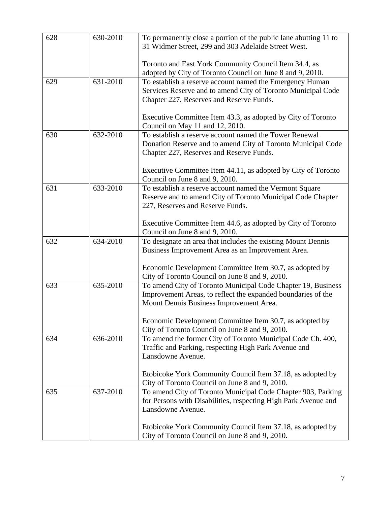| 628 | 630-2010 | To permanently close a portion of the public lane abutting 11 to<br>31 Widmer Street, 299 and 303 Adelaide Street West.                                                 |
|-----|----------|-------------------------------------------------------------------------------------------------------------------------------------------------------------------------|
|     |          | Toronto and East York Community Council Item 34.4, as<br>adopted by City of Toronto Council on June 8 and 9, 2010.                                                      |
| 629 | 631-2010 | To establish a reserve account named the Emergency Human<br>Services Reserve and to amend City of Toronto Municipal Code<br>Chapter 227, Reserves and Reserve Funds.    |
|     |          | Executive Committee Item 43.3, as adopted by City of Toronto<br>Council on May 11 and 12, 2010.                                                                         |
| 630 | 632-2010 | To establish a reserve account named the Tower Renewal<br>Donation Reserve and to amend City of Toronto Municipal Code<br>Chapter 227, Reserves and Reserve Funds.      |
|     |          | Executive Committee Item 44.11, as adopted by City of Toronto<br>Council on June 8 and 9, 2010.                                                                         |
| 631 | 633-2010 | To establish a reserve account named the Vermont Square<br>Reserve and to amend City of Toronto Municipal Code Chapter<br>227, Reserves and Reserve Funds.              |
|     |          | Executive Committee Item 44.6, as adopted by City of Toronto<br>Council on June 8 and 9, 2010.                                                                          |
| 632 | 634-2010 | To designate an area that includes the existing Mount Dennis<br>Business Improvement Area as an Improvement Area.                                                       |
|     |          | Economic Development Committee Item 30.7, as adopted by<br>City of Toronto Council on June 8 and 9, 2010.                                                               |
| 633 | 635-2010 | To amend City of Toronto Municipal Code Chapter 19, Business<br>Improvement Areas, to reflect the expanded boundaries of the<br>Mount Dennis Business Improvement Area. |
|     |          | Economic Development Committee Item 30.7, as adopted by<br>City of Toronto Council on June 8 and 9, 2010.                                                               |
| 634 | 636-2010 | To amend the former City of Toronto Municipal Code Ch. 400,<br>Traffic and Parking, respecting High Park Avenue and<br>Lansdowne Avenue.                                |
|     |          | Etobicoke York Community Council Item 37.18, as adopted by<br>City of Toronto Council on June 8 and 9, 2010.                                                            |
| 635 | 637-2010 | To amend City of Toronto Municipal Code Chapter 903, Parking<br>for Persons with Disabilities, respecting High Park Avenue and<br>Lansdowne Avenue.                     |
|     |          | Etobicoke York Community Council Item 37.18, as adopted by<br>City of Toronto Council on June 8 and 9, 2010.                                                            |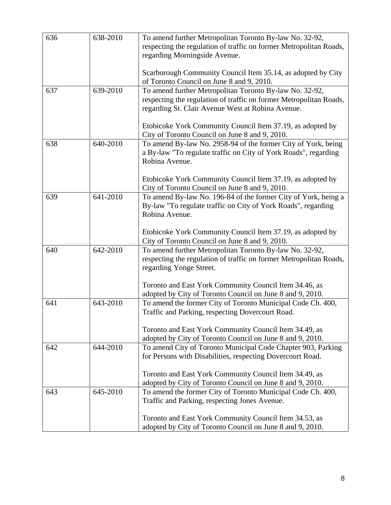| 636 | 638-2010 | To amend further Metropolitan Toronto By-law No. 32-92,<br>respecting the regulation of traffic on former Metropolitan Roads,<br>regarding Morningside Avenue.                     |
|-----|----------|------------------------------------------------------------------------------------------------------------------------------------------------------------------------------------|
|     |          | Scarborough Community Council Item 35.14, as adopted by City<br>of Toronto Council on June 8 and 9, 2010.                                                                          |
| 637 | 639-2010 | To amend further Metropolitan Toronto By-law No. 32-92,<br>respecting the regulation of traffic on former Metropolitan Roads,<br>regarding St. Clair Avenue West at Robina Avenue. |
|     |          | Etobicoke York Community Council Item 37.19, as adopted by<br>City of Toronto Council on June 8 and 9, 2010.                                                                       |
| 638 | 640-2010 | To amend By-law No. 2958-94 of the former City of York, being<br>a By-law "To regulate traffic on City of York Roads", regarding<br>Robina Avenue.                                 |
|     |          | Etobicoke York Community Council Item 37.19, as adopted by<br>City of Toronto Council on June 8 and 9, 2010.                                                                       |
| 639 | 641-2010 | To amend By-law No. 196-84 of the former City of York, being a<br>By-law "To regulate traffic on City of York Roads", regarding<br>Robina Avenue.                                  |
|     |          | Etobicoke York Community Council Item 37.19, as adopted by<br>City of Toronto Council on June 8 and 9, 2010.                                                                       |
| 640 | 642-2010 | To amend further Metropolitan Toronto By-law No. 32-92,<br>respecting the regulation of traffic on former Metropolitan Roads,<br>regarding Yonge Street.                           |
|     |          | Toronto and East York Community Council Item 34.46, as<br>adopted by City of Toronto Council on June 8 and 9, 2010.                                                                |
| 641 | 643-2010 | To amend the former City of Toronto Municipal Code Ch. 400,<br>Traffic and Parking, respecting Dovercourt Road.                                                                    |
|     |          | Toronto and East York Community Council Item 34.49, as<br>adopted by City of Toronto Council on June 8 and 9, 2010.                                                                |
| 642 | 644-2010 | To amend City of Toronto Municipal Code Chapter 903, Parking<br>for Persons with Disabilities, respecting Dovercourt Road.                                                         |
|     |          | Toronto and East York Community Council Item 34.49, as<br>adopted by City of Toronto Council on June 8 and 9, 2010.                                                                |
| 643 | 645-2010 | To amend the former City of Toronto Municipal Code Ch. 400,<br>Traffic and Parking, respecting Jones Avenue.                                                                       |
|     |          | Toronto and East York Community Council Item 34.53, as<br>adopted by City of Toronto Council on June 8 and 9, 2010.                                                                |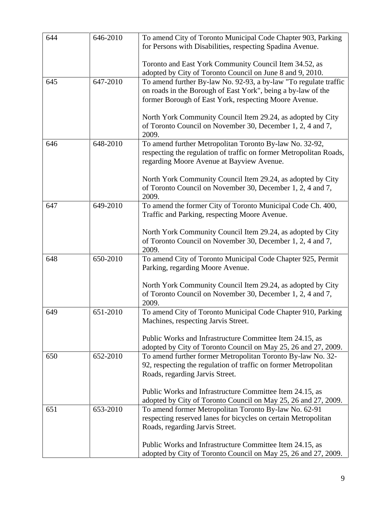| 644 | 646-2010 | To amend City of Toronto Municipal Code Chapter 903, Parking<br>for Persons with Disabilities, respecting Spadina Avenue.     |
|-----|----------|-------------------------------------------------------------------------------------------------------------------------------|
|     |          | Toronto and East York Community Council Item 34.52, as                                                                        |
| 645 | 647-2010 | adopted by City of Toronto Council on June 8 and 9, 2010.<br>To amend further By-law No. 92-93, a by-law "To regulate traffic |
|     |          | on roads in the Borough of East York", being a by-law of the                                                                  |
|     |          | former Borough of East York, respecting Moore Avenue.                                                                         |
|     |          |                                                                                                                               |
|     |          | North York Community Council Item 29.24, as adopted by City                                                                   |
|     |          | of Toronto Council on November 30, December 1, 2, 4 and 7,                                                                    |
|     |          | 2009.                                                                                                                         |
| 646 | 648-2010 | To amend further Metropolitan Toronto By-law No. 32-92,                                                                       |
|     |          | respecting the regulation of traffic on former Metropolitan Roads,<br>regarding Moore Avenue at Bayview Avenue.               |
|     |          |                                                                                                                               |
|     |          | North York Community Council Item 29.24, as adopted by City                                                                   |
|     |          | of Toronto Council on November 30, December 1, 2, 4 and 7,                                                                    |
|     |          | 2009.                                                                                                                         |
| 647 | 649-2010 | To amend the former City of Toronto Municipal Code Ch. 400,                                                                   |
|     |          | Traffic and Parking, respecting Moore Avenue.                                                                                 |
|     |          | North York Community Council Item 29.24, as adopted by City                                                                   |
|     |          | of Toronto Council on November 30, December 1, 2, 4 and 7,                                                                    |
|     |          | 2009.                                                                                                                         |
| 648 | 650-2010 | To amend City of Toronto Municipal Code Chapter 925, Permit                                                                   |
|     |          | Parking, regarding Moore Avenue.                                                                                              |
|     |          |                                                                                                                               |
|     |          | North York Community Council Item 29.24, as adopted by City<br>of Toronto Council on November 30, December 1, 2, 4 and 7,     |
|     |          | 2009.                                                                                                                         |
| 649 | 651-2010 | To amend City of Toronto Municipal Code Chapter 910, Parking                                                                  |
|     |          | Machines, respecting Jarvis Street.                                                                                           |
|     |          |                                                                                                                               |
|     |          | Public Works and Infrastructure Committee Item 24.15, as                                                                      |
|     |          | adopted by City of Toronto Council on May 25, 26 and 27, 2009.                                                                |
| 650 | 652-2010 | To amend further former Metropolitan Toronto By-law No. 32-                                                                   |
|     |          | 92, respecting the regulation of traffic on former Metropolitan<br>Roads, regarding Jarvis Street.                            |
|     |          |                                                                                                                               |
|     |          | Public Works and Infrastructure Committee Item 24.15, as                                                                      |
|     |          | adopted by City of Toronto Council on May 25, 26 and 27, 2009.                                                                |
| 651 | 653-2010 | To amend former Metropolitan Toronto By-law No. 62-91                                                                         |
|     |          | respecting reserved lanes for bicycles on certain Metropolitan                                                                |
|     |          | Roads, regarding Jarvis Street.                                                                                               |
|     |          | Public Works and Infrastructure Committee Item 24.15, as                                                                      |
|     |          | adopted by City of Toronto Council on May 25, 26 and 27, 2009.                                                                |
|     |          |                                                                                                                               |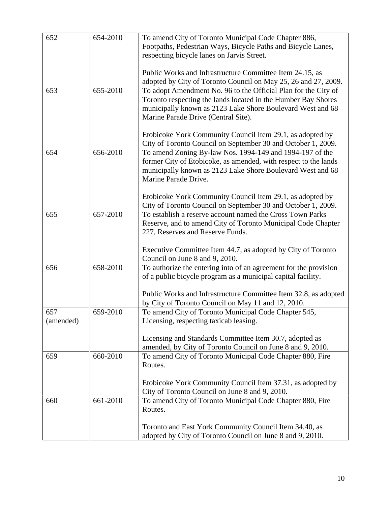| 652       | 654-2010 | To amend City of Toronto Municipal Code Chapter 886,                                                                          |
|-----------|----------|-------------------------------------------------------------------------------------------------------------------------------|
|           |          | Footpaths, Pedestrian Ways, Bicycle Paths and Bicycle Lanes,<br>respecting bicycle lanes on Jarvis Street.                    |
|           |          |                                                                                                                               |
|           |          | Public Works and Infrastructure Committee Item 24.15, as                                                                      |
|           |          | adopted by City of Toronto Council on May 25, 26 and 27, 2009.                                                                |
| 653       | 655-2010 | To adopt Amendment No. 96 to the Official Plan for the City of                                                                |
|           |          | Toronto respecting the lands located in the Humber Bay Shores<br>municipally known as 2123 Lake Shore Boulevard West and 68   |
|           |          | Marine Parade Drive (Central Site).                                                                                           |
|           |          |                                                                                                                               |
|           |          | Etobicoke York Community Council Item 29.1, as adopted by                                                                     |
|           |          | City of Toronto Council on September 30 and October 1, 2009.                                                                  |
| 654       | 656-2010 | To amend Zoning By-law Nos. 1994-149 and 1994-197 of the                                                                      |
|           |          | former City of Etobicoke, as amended, with respect to the lands<br>municipally known as 2123 Lake Shore Boulevard West and 68 |
|           |          | Marine Parade Drive.                                                                                                          |
|           |          |                                                                                                                               |
|           |          | Etobicoke York Community Council Item 29.1, as adopted by                                                                     |
|           |          | City of Toronto Council on September 30 and October 1, 2009.                                                                  |
| 655       | 657-2010 | To establish a reserve account named the Cross Town Parks                                                                     |
|           |          | Reserve, and to amend City of Toronto Municipal Code Chapter<br>227, Reserves and Reserve Funds.                              |
|           |          |                                                                                                                               |
|           |          | Executive Committee Item 44.7, as adopted by City of Toronto                                                                  |
|           |          | Council on June 8 and 9, 2010.                                                                                                |
| 656       | 658-2010 | To authorize the entering into of an agreement for the provision                                                              |
|           |          | of a public bicycle program as a municipal capital facility.                                                                  |
|           |          | Public Works and Infrastructure Committee Item 32.8, as adopted                                                               |
|           |          | by City of Toronto Council on May 11 and 12, 2010.                                                                            |
| 657       | 659-2010 | To amend City of Toronto Municipal Code Chapter 545,                                                                          |
| (amended) |          | Licensing, respecting taxicab leasing.                                                                                        |
|           |          | Licensing and Standards Committee Item 30.7, adopted as                                                                       |
|           |          | amended, by City of Toronto Council on June 8 and 9, 2010.                                                                    |
| 659       | 660-2010 | To amend City of Toronto Municipal Code Chapter 880, Fire                                                                     |
|           |          | Routes.                                                                                                                       |
|           |          |                                                                                                                               |
|           |          | Etobicoke York Community Council Item 37.31, as adopted by                                                                    |
| 660       | 661-2010 | City of Toronto Council on June 8 and 9, 2010.<br>To amend City of Toronto Municipal Code Chapter 880, Fire                   |
|           |          | Routes.                                                                                                                       |
|           |          |                                                                                                                               |
|           |          | Toronto and East York Community Council Item 34.40, as                                                                        |
|           |          | adopted by City of Toronto Council on June 8 and 9, 2010.                                                                     |